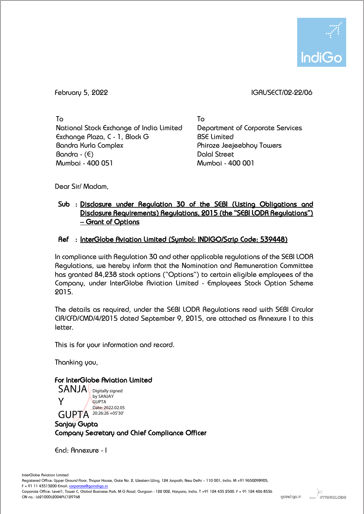

## February 5, 2022 IGAL/SECT/02-22/06

To National Stock Exchange of India Limited Exchange Plaza, C - 1, Block G Bandra Kurla Complex  $Bandra - (E)$ Mumbai - 400 051

To Department of Corporate Services BSE Limited Phiroze Jeejeebhoy Towers Dalal Street Mumbai - 400 001

Dear Sir/ Madam,

## Sub : Disclosure under Regulation 30 of the SEBI (Listing Obligations and Disclosure Requirements) Regulations, 2015 (the "SEBI LODR Regulations") – Grant of Options

## Ref : InterGlobe Aviation Limited (Symbol: INDIGO/Scrip Code: 539448)

In compliance with Regulation 30 and other applicable regulations of the SEBI LODR Regulations, we hereby inform that the Nomination and Remuneration Committee has granted 84,238 stock options ("Options") to certain eligible employees of the Company, under InterGlobe Aviation Limited - Employees Stock Option Scheme 2015.

The details as required, under the SEBI LODR Regulations read with SEBI Circular CIR/CFD/CMD/4/2015 dated September 9, 2015, are attached as Annexure I to this letter.

This is for your information and record.

Thanking you,

## For InterGlobe Aviation Limited

SANJA Digitally signed Y GUPTA 20:26:26 +05'30' by SANJAY **GUPTA** Date: 2022.02.05

Sanjay Gupta Company Secretary and Chief Compliance Officer

Encl: Annexure - I

Corporate Office: Level1, Tower C, Global Business Park, M G Road, Gurgaon - 122 002, Haryana, India. T +91 124 435 2500. F + 91 124 406 8536 CIN no.: L62100DL2004PLC129768